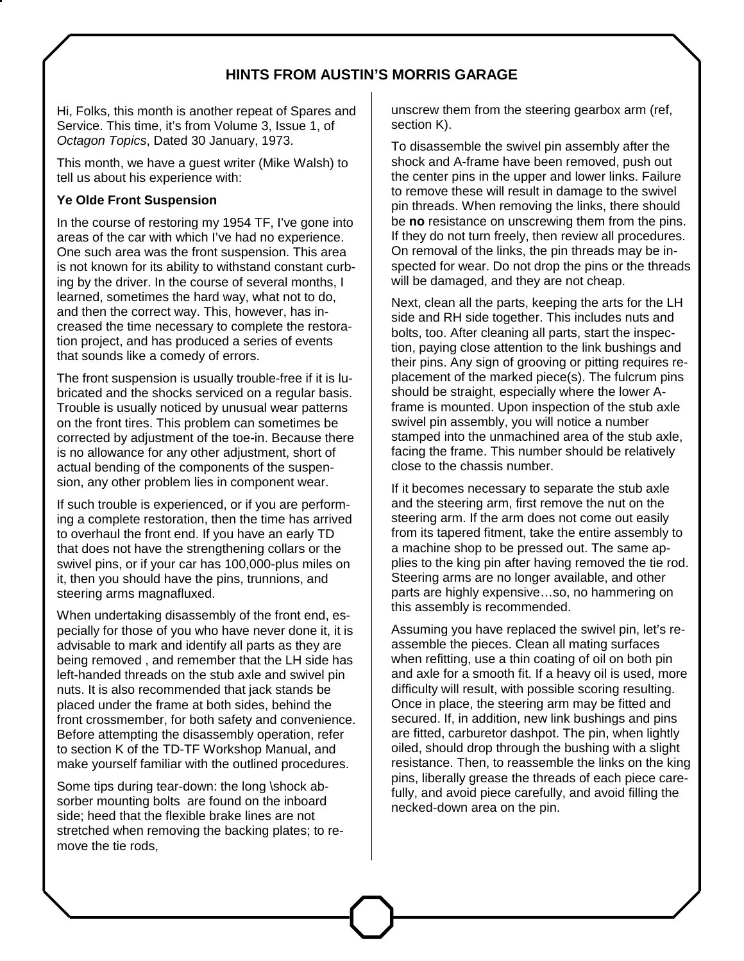## **HINTS FROM AUSTIN'S MORRIS GARAGE**

Hi, Folks, this month is another repeat of Spares and Service. This time, it's from Volume 3, Issue 1, of *Octagon Topics*, Dated 30 January, 1973.

This month, we have a guest writer (Mike Walsh) to tell us about his experience with:

## **Ye Olde Front Suspension**

In the course of restoring my 1954 TF, I've gone into areas of the car with which I've had no experience. One such area was the front suspension. This area is not known for its ability to withstand constant curbing by the driver. In the course of several months, I learned, sometimes the hard way, what not to do, and then the correct way. This, however, has increased the time necessary to complete the restoration project, and has produced a series of events that sounds like a comedy of errors.

The front suspension is usually trouble-free if it is lubricated and the shocks serviced on a regular basis. Trouble is usually noticed by unusual wear patterns on the front tires. This problem can sometimes be corrected by adjustment of the toe-in. Because there is no allowance for any other adjustment, short of actual bending of the components of the suspension, any other problem lies in component wear.

If such trouble is experienced, or if you are performing a complete restoration, then the time has arrived to overhaul the front end. If you have an early TD that does not have the strengthening collars or the swivel pins, or if your car has 100,000-plus miles on it, then you should have the pins, trunnions, and steering arms magnafluxed.

When undertaking disassembly of the front end, especially for those of you who have never done it, it is advisable to mark and identify all parts as they are being removed , and remember that the LH side has left-handed threads on the stub axle and swivel pin nuts. It is also recommended that jack stands be placed under the frame at both sides, behind the front crossmember, for both safety and convenience. Before attempting the disassembly operation, refer to section K of the TD-TF Workshop Manual, and make yourself familiar with the outlined procedures.

Some tips during tear-down: the long \shock absorber mounting bolts are found on the inboard side; heed that the flexible brake lines are not stretched when removing the backing plates; to remove the tie rods,

unscrew them from the steering gearbox arm (ref, section K).

To disassemble the swivel pin assembly after the shock and A-frame have been removed, push out the center pins in the upper and lower links. Failure to remove these will result in damage to the swivel pin threads. When removing the links, there should be **no** resistance on unscrewing them from the pins. If they do not turn freely, then review all procedures. On removal of the links, the pin threads may be inspected for wear. Do not drop the pins or the threads will be damaged, and they are not cheap.

Next, clean all the parts, keeping the arts for the LH side and RH side together. This includes nuts and bolts, too. After cleaning all parts, start the inspection, paying close attention to the link bushings and their pins. Any sign of grooving or pitting requires replacement of the marked piece(s). The fulcrum pins should be straight, especially where the lower Aframe is mounted. Upon inspection of the stub axle swivel pin assembly, you will notice a number stamped into the unmachined area of the stub axle, facing the frame. This number should be relatively close to the chassis number.

If it becomes necessary to separate the stub axle and the steering arm, first remove the nut on the steering arm. If the arm does not come out easily from its tapered fitment, take the entire assembly to a machine shop to be pressed out. The same applies to the king pin after having removed the tie rod. Steering arms are no longer available, and other parts are highly expensive…so, no hammering on this assembly is recommended.

Assuming you have replaced the swivel pin, let's reassemble the pieces. Clean all mating surfaces when refitting, use a thin coating of oil on both pin and axle for a smooth fit. If a heavy oil is used, more difficulty will result, with possible scoring resulting. Once in place, the steering arm may be fitted and secured. If, in addition, new link bushings and pins are fitted, carburetor dashpot. The pin, when lightly oiled, should drop through the bushing with a slight resistance. Then, to reassemble the links on the king pins, liberally grease the threads of each piece carefully, and avoid piece carefully, and avoid filling the necked-down area on the pin.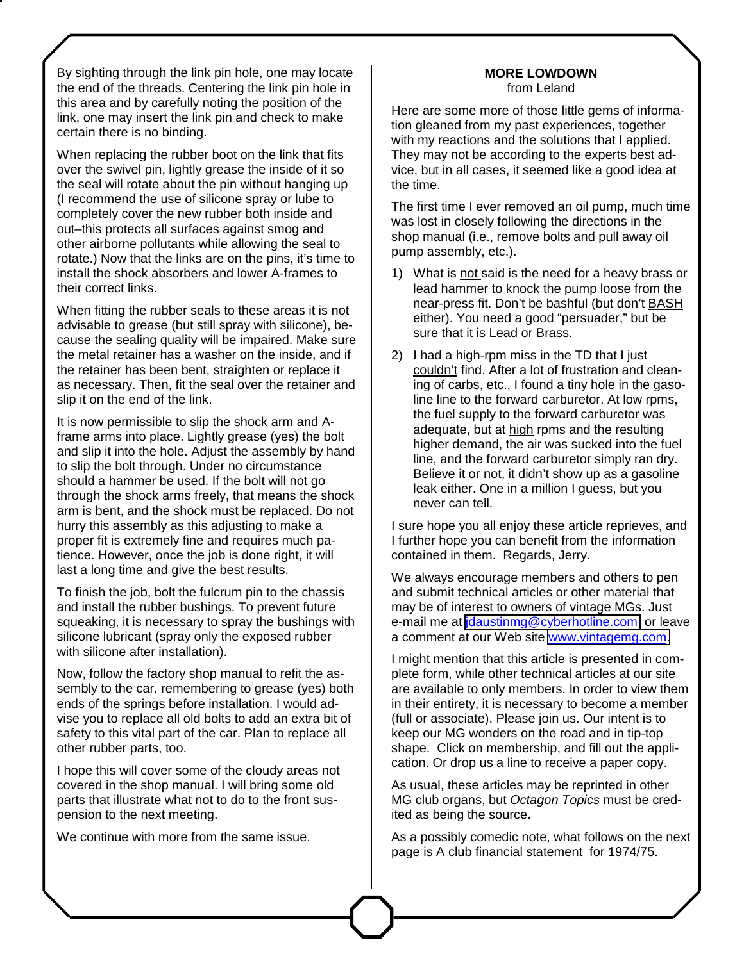By sighting through the link pin hole, one may locate the end of the threads. Centering the link pin hole in this area and by carefully noting the position of the link, one may insert the link pin and check to make certain there is no binding.

When replacing the rubber boot on the link that fits over the swivel pin, lightly grease the inside of it so the seal will rotate about the pin without hanging up (I recommend the use of silicone spray or lube to completely cover the new rubber both inside and out–this protects all surfaces against smog and other airborne pollutants while allowing the seal to rotate.) Now that the links are on the pins, it's time to install the shock absorbers and lower A-frames to their correct links.

When fitting the rubber seals to these areas it is not advisable to grease (but still spray with silicone), because the sealing quality will be impaired. Make sure the metal retainer has a washer on the inside, and if the retainer has been bent, straighten or replace it as necessary. Then, fit the seal over the retainer and slip it on the end of the link.

It is now permissible to slip the shock arm and Aframe arms into place. Lightly grease (yes) the bolt and slip it into the hole. Adjust the assembly by hand to slip the bolt through. Under no circumstance should a hammer be used. If the bolt will not go through the shock arms freely, that means the shock arm is bent, and the shock must be replaced. Do not hurry this assembly as this adjusting to make a proper fit is extremely fine and requires much patience. However, once the job is done right, it will last a long time and give the best results.

To finish the job, bolt the fulcrum pin to the chassis and install the rubber bushings. To prevent future squeaking, it is necessary to spray the bushings with silicone lubricant (spray only the exposed rubber with silicone after installation).

Now, follow the factory shop manual to refit the assembly to the car, remembering to grease (yes) both ends of the springs before installation. I would advise you to replace all old bolts to add an extra bit of safety to this vital part of the car. Plan to replace all other rubber parts, too.

I hope this will cover some of the cloudy areas not covered in the shop manual. I will bring some old parts that illustrate what not to do to the front suspension to the next meeting.

We continue with more from the same issue.

## **MORE LOWDOWN**  from Leland

Here are some more of those little gems of information gleaned from my past experiences, together with my reactions and the solutions that I applied. They may not be according to the experts best advice, but in all cases, it seemed like a good idea at the time.

The first time I ever removed an oil pump, much time was lost in closely following the directions in the shop manual (i.e., remove bolts and pull away oil pump assembly, etc.).

- 1) What is not said is the need for a heavy brass or lead hammer to knock the pump loose from the near-press fit. Don't be bashful (but don't BASH either). You need a good "persuader," but be sure that it is Lead or Brass.
- 2) I had a high-rpm miss in the TD that I just couldn't find. After a lot of frustration and cleaning of carbs, etc., I found a tiny hole in the gasoline line to the forward carburetor. At low rpms, the fuel supply to the forward carburetor was adequate, but at high rpms and the resulting higher demand, the air was sucked into the fuel line, and the forward carburetor simply ran dry. Believe it or not, it didn't show up as a gasoline leak either. One in a million I guess, but you never can tell.

I sure hope you all enjoy these article reprieves, and I further hope you can benefit from the information contained in them. Regards, Jerry.

We always encourage members and others to pen and submit technical articles or other material that may be of interest to owners of vintage MGs. Just e-mail me at *idaustinmg@cyberhotline.com* or leave a comment at our Web site [www.vintagemg.com.](http://www.vintagemg.com/)

I might mention that this article is presented in complete form, while other technical articles at our site are available to only members. In order to view them in their entirety, it is necessary to become a member (full or associate). Please join us. Our intent is to keep our MG wonders on the road and in tip-top shape. Click on membership, and fill out the application. Or drop us a line to receive a paper copy.

As usual, these articles may be reprinted in other MG club organs, but *Octagon Topics* must be credited as being the source.

As a possibly comedic note, what follows on the next page is A club financial statement for 1974/75.